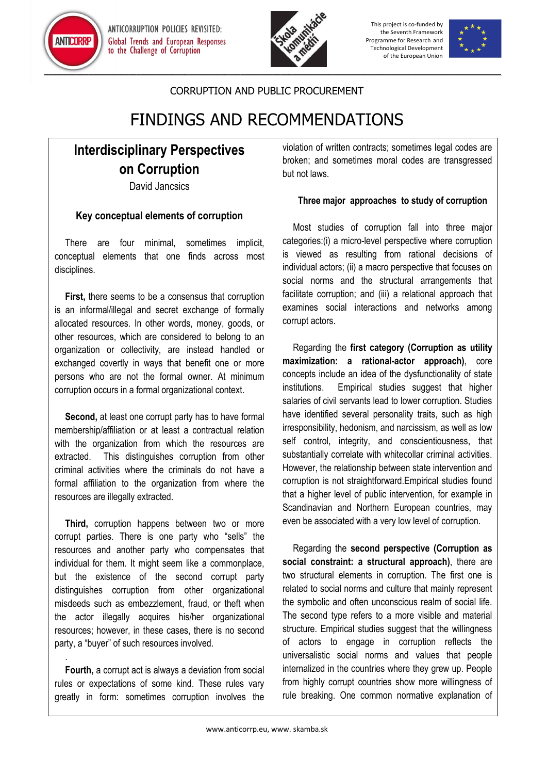

ANTICORRUPTION POLICIES REVISITED: **Global Trends and European Responses** to the Challenge of Corruption



This project is co-funded by the Seventh Framework Programme for Research and Technological Development of the European Union



### CORRUPTION AND PUBLIC PROCUREMENT

# FINDINGS AND RECOMMENDATIONS

## **Interdisciplinary Perspectives on Corruption**

David Jancsics

### **Key conceptual elements of corruption**

There are four minimal, sometimes implicit, conceptual elements that one finds across most disciplines.

**First,** there seems to be a consensus that corruption is an informal/illegal and secret exchange of formally allocated resources. In other words, money, goods, or other resources, which are considered to belong to an organization or collectivity, are instead handled or exchanged covertly in ways that benefit one or more persons who are not the formal owner. At minimum corruption occurs in a formal organizational context.

**Second,** at least one corrupt party has to have formal membership/affiliation or at least a contractual relation with the organization from which the resources are extracted. This distinguishes corruption from other criminal activities where the criminals do not have a formal affiliation to the organization from where the resources are illegally extracted.

**Third,** corruption happens between two or more corrupt parties. There is one party who "sells" the resources and another party who compensates that individual for them. It might seem like a commonplace, but the existence of the second corrupt party distinguishes corruption from other organizational misdeeds such as embezzlement, fraud, or theft when the actor illegally acquires his/her organizational resources; however, in these cases, there is no second party, a "buyer" of such resources involved.

**Fourth,** a corrupt act is always a deviation from social rules or expectations of some kind. These rules vary greatly in form: sometimes corruption involves the

.

violation of written contracts; sometimes legal codes are broken; and sometimes moral codes are transgressed but not laws.

#### **Three major approaches to study of corruption**

Most studies of corruption fall into three major categories:(i) a micro-level perspective where corruption is viewed as resulting from rational decisions of individual actors; (ii) a macro perspective that focuses on social norms and the structural arrangements that facilitate corruption; and (iii) a relational approach that examines social interactions and networks among corrupt actors.

Regarding the **first category (Corruption as utility maximization: a rational-actor approach)**, core concepts include an idea of the dysfunctionality of state institutions. Empirical studies suggest that higher salaries of civil servants lead to lower corruption. Studies have identified several personality traits, such as high irresponsibility, hedonism, and narcissism, as well as low self control, integrity, and conscientiousness, that substantially correlate with whitecollar criminal activities. However, the relationship between state intervention and corruption is not straightforward.Empirical studies found that a higher level of public intervention, for example in Scandinavian and Northern European countries, may even be associated with a very low level of corruption.

Regarding the **second perspective (Corruption as social constraint: a structural approach)**, there are two structural elements in corruption. The first one is related to social norms and culture that mainly represent the symbolic and often unconscious realm of social life. The second type refers to a more visible and material structure. Empirical studies suggest that the willingness of actors to engage in corruption reflects the universalistic social norms and values that people internalized in the countries where they grew up. People from highly corrupt countries show more willingness of rule breaking. One common normative explanation of